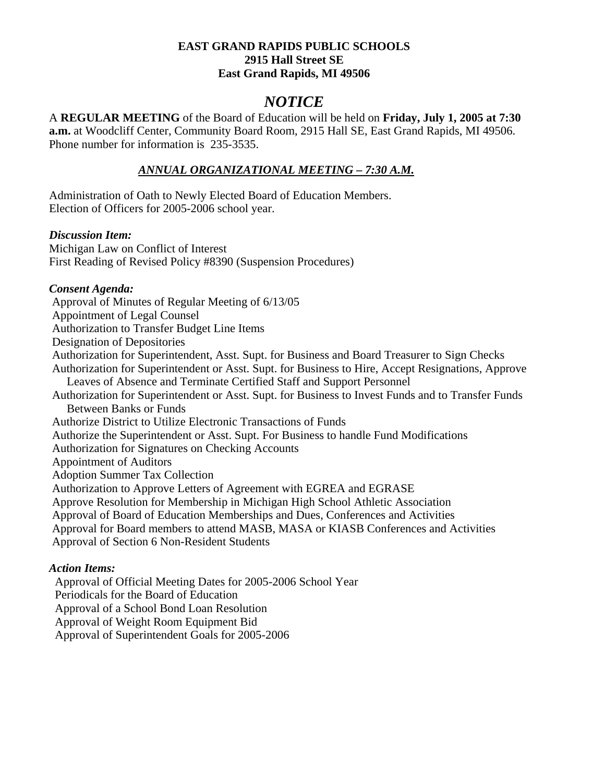#### **EAST GRAND RAPIDS PUBLIC SCHOOLS 2915 Hall Street SE East Grand Rapids, MI 49506**

# *NOTICE*

A **REGULAR MEETING** of the Board of Education will be held on **Friday, July 1, 2005 at 7:30 a.m.** at Woodcliff Center, Community Board Room, 2915 Hall SE, East Grand Rapids, MI 49506. Phone number for information is 235-3535.

# *ANNUAL ORGANIZATIONAL MEETING – 7:30 A.M.*

Administration of Oath to Newly Elected Board of Education Members. Election of Officers for 2005-2006 school year.

# *Discussion Item:*

Michigan Law on Conflict of Interest First Reading of Revised Policy #8390 (Suspension Procedures)

# *Consent Agenda:*

 Approval of Minutes of Regular Meeting of 6/13/05 Appointment of Legal Counsel Authorization to Transfer Budget Line Items Designation of Depositories Authorization for Superintendent, Asst. Supt. for Business and Board Treasurer to Sign Checks Authorization for Superintendent or Asst. Supt. for Business to Hire, Accept Resignations, Approve Leaves of Absence and Terminate Certified Staff and Support Personnel Authorization for Superintendent or Asst. Supt. for Business to Invest Funds and to Transfer Funds Between Banks or Funds Authorize District to Utilize Electronic Transactions of Funds Authorize the Superintendent or Asst. Supt. For Business to handle Fund Modifications Authorization for Signatures on Checking Accounts Appointment of Auditors Adoption Summer Tax Collection Authorization to Approve Letters of Agreement with EGREA and EGRASE Approve Resolution for Membership in Michigan High School Athletic Association Approval of Board of Education Memberships and Dues, Conferences and Activities Approval for Board members to attend MASB, MASA or KIASB Conferences and Activities Approval of Section 6 Non-Resident Students

# *Action Items:*

 Approval of Official Meeting Dates for 2005-2006 School Year Periodicals for the Board of Education Approval of a School Bond Loan Resolution Approval of Weight Room Equipment Bid Approval of Superintendent Goals for 2005-2006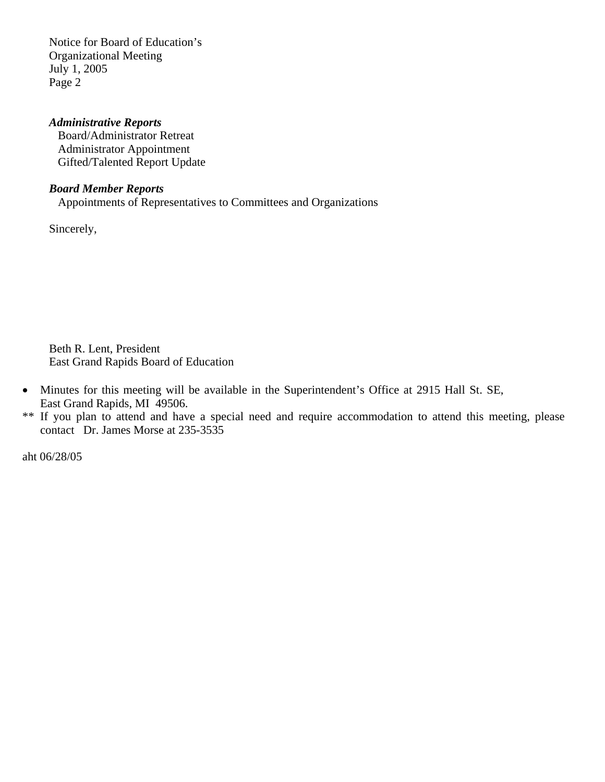Notice for Board of Education's Organizational Meeting July 1, 2005 Page 2

#### *Administrative Reports*

 Board/Administrator Retreat Administrator Appointment Gifted/Talented Report Update

#### *Board Member Reports*

Appointments of Representatives to Committees and Organizations

Sincerely,

Beth R. Lent, President East Grand Rapids Board of Education

- Minutes for this meeting will be available in the Superintendent's Office at 2915 Hall St. SE, East Grand Rapids, MI 49506.
- \*\* If you plan to attend and have a special need and require accommodation to attend this meeting, please contact Dr. James Morse at 235-3535

aht 06/28/05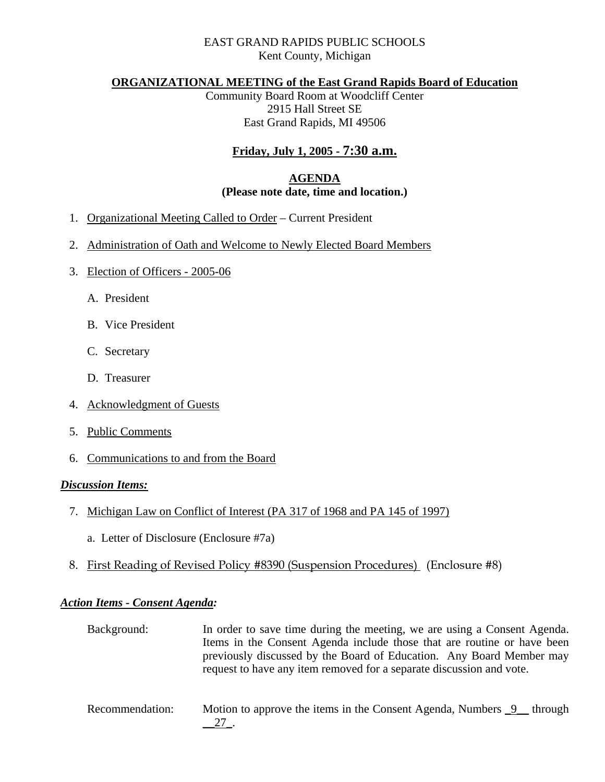# EAST GRAND RAPIDS PUBLIC SCHOOLS Kent County, Michigan

#### **ORGANIZATIONAL MEETING of the East Grand Rapids Board of Education**

Community Board Room at Woodcliff Center 2915 Hall Street SE East Grand Rapids, MI 49506

# **Friday, July 1, 2005 - 7:30 a.m.**

# **AGENDA (Please note date, time and location.)**

- 1. Organizational Meeting Called to Order Current President
- 2. Administration of Oath and Welcome to Newly Elected Board Members
- 3. Election of Officers 2005-06
	- A. President
	- B. Vice President
	- C. Secretary
	- D. Treasurer
- 4. Acknowledgment of Guests
- 5. Public Comments
- 6. Communications to and from the Board

#### *Discussion Items:*

- 7. Michigan Law on Conflict of Interest (PA 317 of 1968 and PA 145 of 1997)
	- a. Letter of Disclosure (Enclosure #7a)
- 8. First Reading of Revised Policy #8390 (Suspension Procedures) (Enclosure #8)

#### *Action Items - Consent Agenda:*

| Background: | In order to save time during the meeting, we are using a Consent Agenda. |
|-------------|--------------------------------------------------------------------------|
|             | Items in the Consent Agenda include those that are routine or have been  |
|             | previously discussed by the Board of Education. Any Board Member may     |
|             | request to have any item removed for a separate discussion and vote.     |
|             |                                                                          |

Recommendation: Motion to approve the items in the Consent Agenda, Numbers  $\frac{9}{2}$  through \_\_27\_.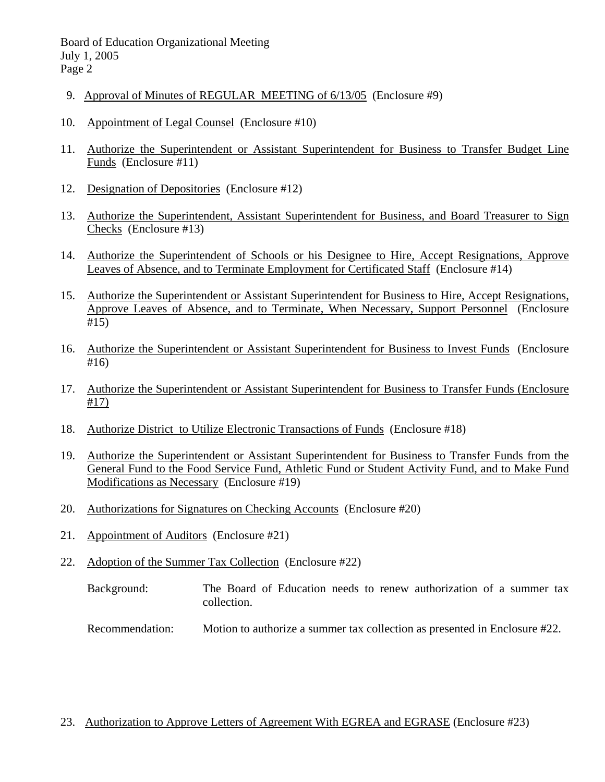Board of Education Organizational Meeting July 1, 2005 Page 2

- 9. Approval of Minutes of REGULAR MEETING of 6/13/05 (Enclosure #9)
- 10. Appointment of Legal Counsel (Enclosure #10)
- 11. Authorize the Superintendent or Assistant Superintendent for Business to Transfer Budget Line Funds (Enclosure #11)
- 12. Designation of Depositories (Enclosure #12)
- 13. Authorize the Superintendent, Assistant Superintendent for Business, and Board Treasurer to Sign Checks (Enclosure #13)
- 14. Authorize the Superintendent of Schools or his Designee to Hire, Accept Resignations, Approve Leaves of Absence, and to Terminate Employment for Certificated Staff (Enclosure #14)
- 15. Authorize the Superintendent or Assistant Superintendent for Business to Hire, Accept Resignations, Approve Leaves of Absence, and to Terminate, When Necessary, Support Personnel (Enclosure #15)
- 16. Authorize the Superintendent or Assistant Superintendent for Business to Invest Funds (Enclosure #16)
- 17. Authorize the Superintendent or Assistant Superintendent for Business to Transfer Funds (Enclosure #17)
- 18. Authorize District to Utilize Electronic Transactions of Funds (Enclosure #18)
- 19. Authorize the Superintendent or Assistant Superintendent for Business to Transfer Funds from the General Fund to the Food Service Fund, Athletic Fund or Student Activity Fund, and to Make Fund Modifications as Necessary (Enclosure #19)
- 20. Authorizations for Signatures on Checking Accounts (Enclosure #20)
- 21. Appointment of Auditors (Enclosure #21)
- 22. Adoption of the Summer Tax Collection (Enclosure #22)
	- Background: The Board of Education needs to renew authorization of a summer tax collection.
	- Recommendation: Motion to authorize a summer tax collection as presented in Enclosure #22.

# 23. Authorization to Approve Letters of Agreement With EGREA and EGRASE (Enclosure #23)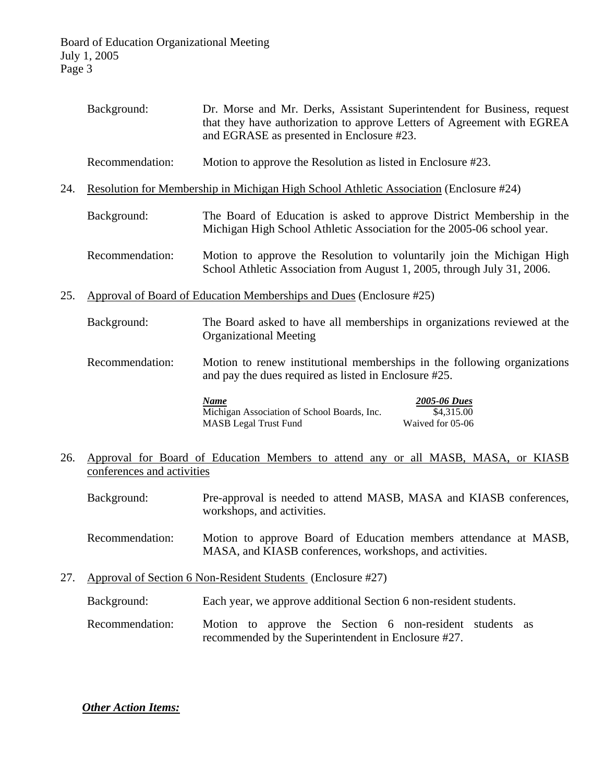|     | Background:                                                                            | Dr. Morse and Mr. Derks, Assistant Superintendent for Business, request<br>that they have authorization to approve Letters of Agreement with EGREA<br>and EGRASE as presented in Enclosure #23. |
|-----|----------------------------------------------------------------------------------------|-------------------------------------------------------------------------------------------------------------------------------------------------------------------------------------------------|
|     | Recommendation:                                                                        | Motion to approve the Resolution as listed in Enclosure #23.                                                                                                                                    |
| 24. | Resolution for Membership in Michigan High School Athletic Association (Enclosure #24) |                                                                                                                                                                                                 |
|     | Background:                                                                            | The Board of Education is asked to approve District Membership in the<br>Michigan High School Athletic Association for the 2005-06 school year.                                                 |
|     | Recommendation:                                                                        | Motion to approve the Resolution to voluntarily join the Michigan High<br>School Athletic Association from August 1, 2005, through July 31, 2006.                                               |
| 25. | Approval of Board of Education Memberships and Dues (Enclosure #25)                    |                                                                                                                                                                                                 |
|     | Background:                                                                            | The Board asked to have all memberships in organizations reviewed at the<br><b>Organizational Meeting</b>                                                                                       |
|     | Recommendation:                                                                        | Motion to renew institutional memberships in the following organizations<br>and pay the dues required as listed in Enclosure #25.                                                               |
|     |                                                                                        | <b>Name</b><br>2005-06 Dues<br>Michigan Association of School Boards, Inc.<br>\$4,315.00<br><b>MASB</b> Legal Trust Fund<br>Waived for 05-06                                                    |
| 26. | conferences and activities                                                             | Approval for Board of Education Members to attend any or all MASB, MASA, or KIASB                                                                                                               |
|     | Background:                                                                            | Pre-approval is needed to attend MASB, MASA and KIASB conferences,<br>workshops, and activities.                                                                                                |

- Recommendation: Motion to approve Board of Education members attendance at MASB, MASA, and KIASB conferences, workshops, and activities.
- 27. Approval of Section 6 Non-Resident Students (Enclosure #27)
	- Background: Each year, we approve additional Section 6 non-resident students.
	- Recommendation: Motion to approve the Section 6 non-resident students as recommended by the Superintendent in Enclosure #27.

*Other Action Items:*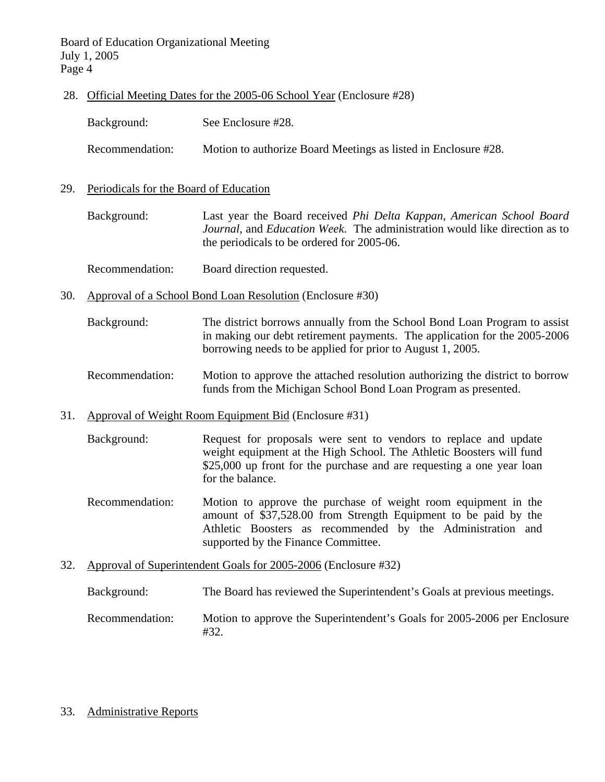Board of Education Organizational Meeting July 1, 2005 Page 4

28. Official Meeting Dates for the 2005-06 School Year (Enclosure #28)

| Background:     | See Enclosure #28.                                             |
|-----------------|----------------------------------------------------------------|
| Recommendation: | Motion to authorize Board Meetings as listed in Enclosure #28. |

29. Periodicals for the Board of Education

 Background: Last year the Board received *Phi Delta Kappan*, *American School Board Journal*, and *Education Week*. The administration would like direction as to the periodicals to be ordered for 2005-06.

- Recommendation: Board direction requested.
- 30. Approval of a School Bond Loan Resolution (Enclosure #30)
	- Background: The district borrows annually from the School Bond Loan Program to assist in making our debt retirement payments. The application for the 2005-2006 borrowing needs to be applied for prior to August 1, 2005.
	- Recommendation: Motion to approve the attached resolution authorizing the district to borrow funds from the Michigan School Bond Loan Program as presented.
- 31. Approval of Weight Room Equipment Bid (Enclosure #31)
	- Background: Request for proposals were sent to vendors to replace and update weight equipment at the High School. The Athletic Boosters will fund \$25,000 up front for the purchase and are requesting a one year loan for the balance.
	- Recommendation: Motion to approve the purchase of weight room equipment in the amount of \$37,528.00 from Strength Equipment to be paid by the Athletic Boosters as recommended by the Administration and supported by the Finance Committee.
- 32. Approval of Superintendent Goals for 2005-2006 (Enclosure #32)

Background: The Board has reviewed the Superintendent's Goals at previous meetings.

- Recommendation: Motion to approve the Superintendent's Goals for 2005-2006 per Enclosure #32.
- 33. Administrative Reports